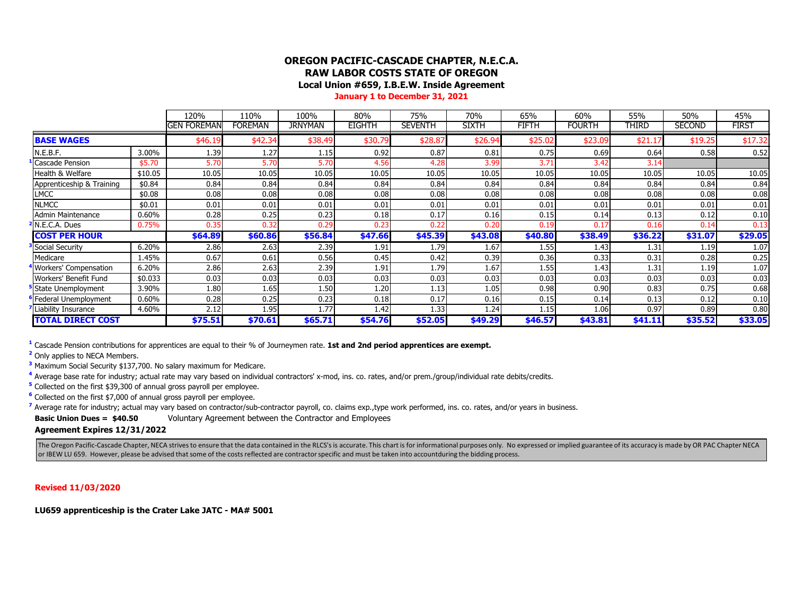## **OREGON PACIFIC-CASCADE CHAPTER, N.E.C.A. RAW LABOR COSTS STATE OF OREGON**

**Local Union #659, I.B.E.W. Inside Agreement**

**January 1 to December 31, 2021**

|                           |         | 120%        | 110%    | 100%           | 80%           | 75%            | 70%          | 65%          | 60%           | 55%     | 50%           | 45%          |
|---------------------------|---------|-------------|---------|----------------|---------------|----------------|--------------|--------------|---------------|---------|---------------|--------------|
|                           |         | gen foreman | Foreman | <b>JRNYMAN</b> | <b>EIGHTH</b> | <b>SEVENTH</b> | <b>SIXTH</b> | <b>FIFTH</b> | <b>FOURTH</b> | THIRD   | <b>SECOND</b> | <b>FIRST</b> |
| <b>BASE WAGES</b>         |         | \$46.19     | \$42.34 | \$38.49        | \$30.79       | \$28.87        | \$26.94      | \$25.02      | \$23.09       | \$21.17 | \$19.25       | \$17.32      |
| N.E.B.F.                  | 3.00%   | 1.39        | 1.27    | 1.15           | 0.92          | 0.87           | 0.81         | 0.75         | 0.69          | 0.64    | 0.58          | 0.52         |
| Cascade Pension           | \$5.70  | 5.70        | 5.70    | 5.70           | 4.56          | 4.28           | 3.99         | 3.71         | 3.42          | 3.14    |               |              |
| Health & Welfare          | \$10.05 | 10.05       | 10.05   | 10.05          | 10.05         | 10.05          | 10.05        | 10.05        | 10.05         | 10.05   | 10.05         | 10.05        |
| Apprenticeship & Training | \$0.84  | 0.84        | 0.84    | 0.84           | 0.84          | 0.84           | 0.84         | 0.84         | 0.84          | 0.84    | 0.84          | 0.84         |
| <b>LMCC</b>               | \$0.08  | 0.08        | 0.08    | 0.08           | 0.08          | 0.08           | 0.08         | 0.08         | 0.08          | 0.08    | 0.08          | 0.08         |
| <b>NLMCC</b>              | \$0.01  | 0.01        | 0.01    | 0.01           | 0.01          | 0.01           | 0.01         | 0.01         | 0.01          | 0.01    | 0.01          | 0.01         |
| Admin Maintenance         | 0.60%   | 0.28        | 0.25    | 0.23           | 0.18          | 0.17           | 0.16         | 0.15         | 0.14          | 0.13    | 0.12          | 0.10         |
| N.E.C.A. Dues             | 0.75%   | 0.35        | 0.32    | 0.29           | 0.23          | 0.22           | 0.20         | 0.19         | 0.17          | 0.16    | 0.14          | 0.13         |
| <b>COST PER HOUR</b>      |         | \$64.89     | \$60.86 | \$56.84        | \$47.66       | \$45.39        | \$43.08      | \$40.80      | \$38.49       | \$36.22 | \$31.07       | \$29.05      |
| Social Security           | 6.20%   | 2.86        | 2.63    | 2.39           | 1.91          | 1.79           | 1.67         | 1.55         | 1.43          | 1.31    | 1.19          | 1.07         |
| Medicare                  | 1.45%   | 0.67        | 0.61    | 0.56           | 0.45          | 0.42           | 0.39         | 0.36         | 0.33          | 0.31    | 0.28          | 0.25         |
| Workers' Compensation     | 6.20%   | 2.86        | 2.63    | 2.39           | 1.91          | 1.79           | 1.67         | 1.55         | 1.43          | 1.31    | 1.19          | 1.07         |
| Workers' Benefit Fund     | \$0.033 | 0.03        | 0.03    | 0.03           | 0.03          | 0.03           | 0.03         | 0.03         | 0.03          | 0.03    | 0.03          | 0.03         |
| State Unemployment        | 3.90%   | 1.80        | 1.65    | 1.50           | 1.20          | 1.13           | 1.05         | 0.98         | 0.90          | 0.83    | 0.75          | 0.68         |
| Federal Unemployment      | 0.60%   | 0.28        | 0.25    | 0.23           | 0.18          | 0.17           | 0.16         | 0.15         | 0.14          | 0.13    | 0.12          | 0.10         |
| Liability Insurance       | 4.60%   | 2.12        | 1.95    | 1.77           | 1.42          | 1.33           | 1.24         | 1.15'        | 1.06          | 0.97    | 0.89          | 0.80         |
| <b>TOTAL DIRECT COST</b>  |         | \$75.51     | \$70.61 | \$65.71        | \$54.76       | \$52.05        | \$49.29      | \$46.57      | \$43.81       | \$41.11 | \$35.52       | \$33.05      |

**<sup>1</sup>** Cascade Pension contributions for apprentices are equal to their % of Journeymen rate. **1st and 2nd period apprentices are exempt.**

**<sup>2</sup>** Only applies to NECA Members.

**<sup>3</sup>** Maximum Social Security \$137,700. No salary maximum for Medicare.

<sup>4</sup> Average base rate for industry; actual rate may vary based on individual contractors' x-mod, ins. co. rates, and/or prem./group/individual rate debits/credits.

**<sup>5</sup>** Collected on the first \$39,300 of annual gross payroll per employee.

**<sup>6</sup>** Collected on the first \$7,000 of annual gross payroll per employee.

<sup>7</sup> Average rate for industry; actual may vary based on contractor/sub-contractor payroll, co. claims exp., type work performed, ins. co. rates, and/or years in business.

**Basic Union Dues = \$40.50** Voluntary Agreement between the Contractor and Employees

**Agreement Expires 12/31/2022**

The Oregon Pacific-Cascade Chapter, NECA strives to ensure that the data contained in the RLCS's is accurate. This chart is for informational purposes only. No expressed or implied guarantee of its accuracy is made by OR P or IBEW LU 659. However, please be advised that some of the costs reflected are contractor specific and must be taken into accountduring the bidding process.

**Revised 11/03/2020**

**LU659 apprenticeship is the Crater Lake JATC - MA# 5001**